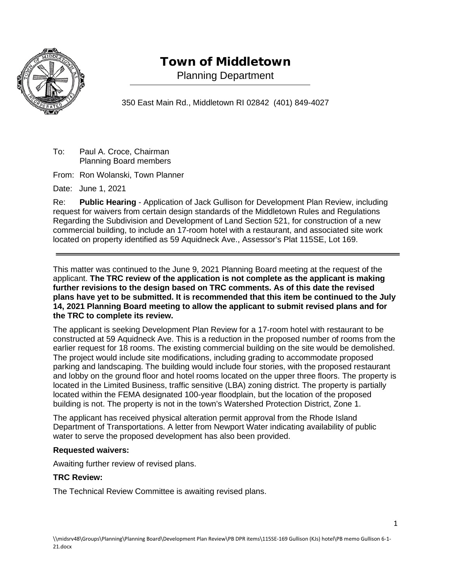

## Town of Middletown

Planning Department

350 East Main Rd., Middletown RI 02842 (401) 849-4027

To: Paul A. Croce, Chairman Planning Board members

From: Ron Wolanski, Town Planner

Date: June 1, 2021

Re: **Public Hearing** - Application of Jack Gullison for Development Plan Review, including request for waivers from certain design standards of the Middletown Rules and Regulations Regarding the Subdivision and Development of Land Section 521, for construction of a new commercial building, to include an 17-room hotel with a restaurant, and associated site work located on property identified as 59 Aquidneck Ave., Assessor's Plat 115SE, Lot 169.

This matter was continued to the June 9, 2021 Planning Board meeting at the request of the applicant. **The TRC review of the application is not complete as the applicant is making further revisions to the design based on TRC comments. As of this date the revised plans have yet to be submitted. It is recommended that this item be continued to the July 14, 2021 Planning Board meeting to allow the applicant to submit revised plans and for the TRC to complete its review.**

The applicant is seeking Development Plan Review for a 17-room hotel with restaurant to be constructed at 59 Aquidneck Ave. This is a reduction in the proposed number of rooms from the earlier request for 18 rooms. The existing commercial building on the site would be demolished. The project would include site modifications, including grading to accommodate proposed parking and landscaping. The building would include four stories, with the proposed restaurant and lobby on the ground floor and hotel rooms located on the upper three floors. The property is located in the Limited Business, traffic sensitive (LBA) zoning district. The property is partially located within the FEMA designated 100-year floodplain, but the location of the proposed building is not. The property is not in the town's Watershed Protection District, Zone 1.

The applicant has received physical alteration permit approval from the Rhode Island Department of Transportations. A letter from Newport Water indicating availability of public water to serve the proposed development has also been provided.

## **Requested waivers:**

Awaiting further review of revised plans.

## **TRC Review:**

The Technical Review Committee is awaiting revised plans.